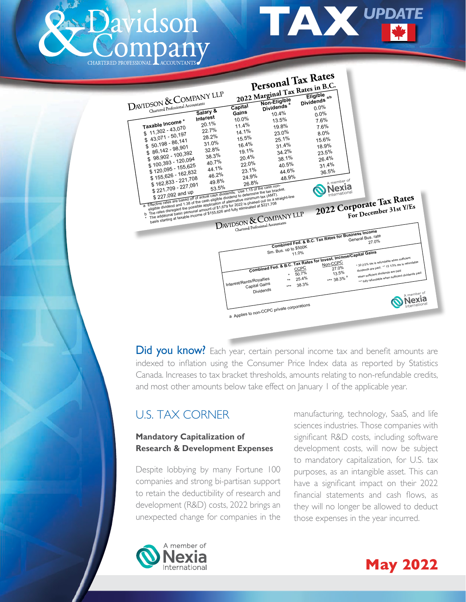

<span id="page-0-0"></span>



**Did you know?** Each year, certain personal income tax and benefit amounts are indexed to inflation using the Consumer Price Index data as reported by Statistics Canada. Increases to tax bracket thresholds, amounts relating to non-refundable credits, and most other amounts below take effect on January 1 of the applicable year.

# U.S. TAX CORNER

#### **Mandatory Capitalization of Research & Development Expenses**

Despite lobbying by many Fortune 100 companies and strong bi-partisan support to retain the deductibility of research and development (R&D) costs, 2022 brings an unexpected change for companies in the

manufacturing, technology, SaaS, and life sciences industries. Those companies with significant R&D costs, including software development costs, will now be subject to mandatory capitalization, for U.S. tax purposes, as an intangible asset. This can have a significant impact on their 2022 financial statements and cash flows, as they will no longer be allowed to deduct those expenses in the year incurred.



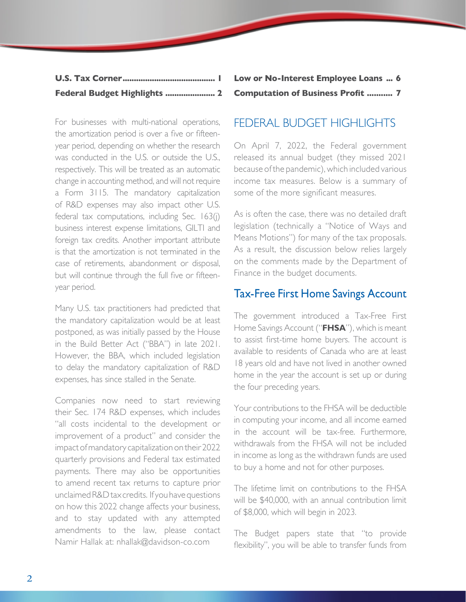| Federal Budget Highlights  2 |  |
|------------------------------|--|

For businesses with multi-national operations, the amortization period is over a five or fifteenyear period, depending on whether the research was conducted in the U.S. or outside the U.S., respectively. This will be treated as an automatic change in accounting method, and will not require a Form 3115. The mandatory capitalization of R&D expenses may also impact other U.S. federal tax computations, including Sec. 163(j) business interest expense limitations, GILTI and foreign tax credits. Another important attribute is that the amortization is not terminated in the case of retirements, abandonment or disposal, but will continue through the full five or fifteenyear period.

Many U.S. tax practitioners had predicted that the mandatory capitalization would be at least postponed, as was initially passed by the House in the Build Better Act ("BBA") in late 2021. However, the BBA, which included legislation to delay the mandatory capitalization of R&D expenses, has since stalled in the Senate.

Companies now need to start reviewing their Sec. 174 R&D expenses, which includes "all costs incidental to the development or improvement of a product" and consider the impact of mandatory capitalization on their 2022 quarterly provisions and Federal tax estimated payments. There may also be opportunities to amend recent tax returns to capture prior unclaimed R&D tax credits. If you have questions on how this 2022 change affects your business, and to stay updated with any attempted amendments to the law, please contact Namir Hallak at: nhallak@davidson-co.com

**[Low or No-Interest Employee Loans](#page-5-0) ... 6 [Computation of Business Profit](#page-6-0) ........... 7**

## FEDERAL BUDGET HIGHLIGHTS

On April 7, 2022, the Federal government released its annual budget (they missed 2021 because of the pandemic), which included various income tax measures. Below is a summary of some of the more significant measures.

As is often the case, there was no detailed draft legislation (technically a "Notice of Ways and Means Motions") for many of the tax proposals. As a result, the discussion below relies largely on the comments made by the Department of Finance in the budget documents.

## Tax-Free First Home Savings Account

The government introduced a Tax-Free First Home Savings Account ("**FHSA**"), which is meant to assist first-time home buyers. The account is available to residents of Canada who are at least 18 years old and have not lived in another owned home in the year the account is set up or during the four preceding years.

Your contributions to the FHSA will be deductible in computing your income, and all income earned in the account will be tax-free. Furthermore, withdrawals from the FHSA will not be included in income as long as the withdrawn funds are used to buy a home and not for other purposes.

The lifetime limit on contributions to the FHSA will be \$40,000, with an annual contribution limit of \$8,000, which will begin in 2023.

The Budget papers state that "to provide flexibility", you will be able to transfer funds from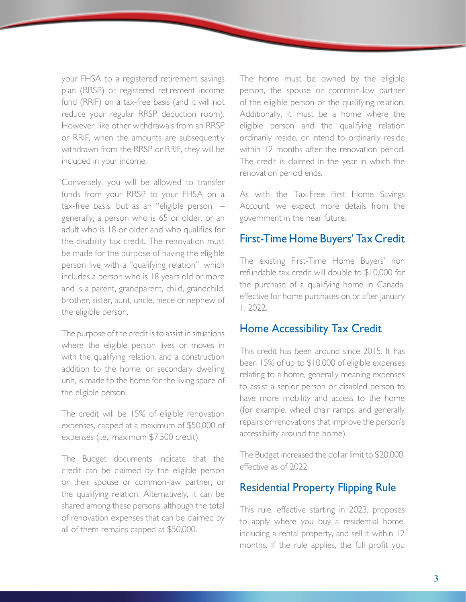your FHSA to a registered retirement savings plan (RRSP) or registered retirement income fund (RRIF) on a tax-free basis (and it will not reduce your regular RRSP deduction room). However, like other withdrawals from an RRSP or RRIF, when the amounts are subsequently withdrawn from the RRSP or RRIF, they will be included in your income.

Conversely, you will be allowed to transfer funds from your RRSP to your FHSA on a tax-free basis, but as an "eligible person" – generally, a person who is 65 or older, or an adult who is 18 or older and who qualifies for the disability tax credit. The renovation must be made for the purpose of having the eligible person live with a "qualifying relation", which includes a person who is 18 years old or more and is a parent, grandparent, child, grandchild, brother, sister, aunt, uncle, niece or nephew of the eligible person.

The purpose of the credit is to assist in situations where the eligible person lives or moves in with the qualifying relation, and a construction addition to the home, or secondary dwelling unit, is made to the home for the living space of the eligible person.

The credit will be 15% of eligible renovation expenses, capped at a maximum of \$50,000 of expenses (i.e., maximum \$7,500 credit).

The Budget documents indicate that the credit can be claimed by the eligible person or their spouse or common-law partner, or the qualifying relation. Alternatively, it can be shared among these persons, although the total of renovation expenses that can be claimed by all of them remains capped at \$50,000.

The home must be owned by the eligible person, the spouse or common-law partner of the eligible person or the qualifying relation. Additionally, it must be a home where the eligible person and the qualifying relation ordinarily reside, or intend to ordinarily reside within 12 months after the renovation period. The credit is claimed in the year in which the renovation period ends.

As with the Tax-Free First Home Savings Account, we expect more details from the government in the near future.

#### First-Time Home Buyers' Tax Credit

The existing First-Time Home Buyers' non refundable tax credit will double to \$10,000 for the purchase of a qualifying home in Canada, effective for home purchases on or after January 1, 2022.

#### Home Accessibility Tax Credit

This credit has been around since 2015. It has been 15% of up to \$10,000 of eligible expenses relating to a home, generally meaning expenses to assist a senior person or disabled person to have more mobility and access to the home (for example, wheel chair ramps, and generally repairs or renovations that improve the person's accessibility around the home).

The Budget increased the dollar limit to \$20,000, effective as of 2022.

## Residential Property Flipping Rule

This rule, effective starting in 2023, proposes to apply where you buy a residential home, including a rental property, and sell it within 12 months. If the rule applies, the full profit you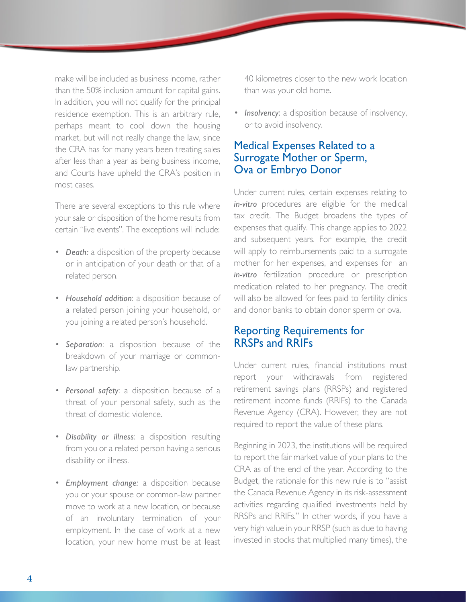make will be included as business income, rather than the 50% inclusion amount for capital gains. In addition, you will not qualify for the principal residence exemption. This is an arbitrary rule, perhaps meant to cool down the housing market, but will not really change the law, since the CRA has for many years been treating sales after less than a year as being business income, and Courts have upheld the CRA's position in most cases.

There are several exceptions to this rule where your sale or disposition of the home results from certain "live events". The exceptions will include:

- *Death:* a disposition of the property because or in anticipation of your death or that of a related person.
- *Household addition*: a disposition because of a related person joining your household, or you joining a related person's household.
- *Separation*: a disposition because of the breakdown of your marriage or commonlaw partnership.
- *Personal safety*: a disposition because of a threat of your personal safety, such as the threat of domestic violence.
- *Disability or illness*: a disposition resulting from you or a related person having a serious disability or illness.
- *Employment change:* a disposition because you or your spouse or common-law partner move to work at a new location, or because of an involuntary termination of your employment. In the case of work at a new location, your new home must be at least

40 kilometres closer to the new work location than was your old home.

• *Insolvency*: a disposition because of insolvency, or to avoid insolvency.

## Medical Expenses Related to a Surrogate Mother or Sperm, Ova or Embryo Donor

Under current rules, certain expenses relating to *in-vitro* procedures are eligible for the medical tax credit. The Budget broadens the types of expenses that qualify. This change applies to 2022 and subsequent years. For example, the credit will apply to reimbursements paid to a surrogate mother for her expenses, and expenses for an *in-vitro* fertilization procedure or prescription medication related to her pregnancy. The credit will also be allowed for fees paid to fertility clinics and donor banks to obtain donor sperm or ova.

#### Reporting Requirements for RRSPs and RRIFs

Under current rules, financial institutions must report your withdrawals from registered retirement savings plans (RRSPs) and registered retirement income funds (RRIFs) to the Canada Revenue Agency (CRA). However, they are not required to report the value of these plans.

Beginning in 2023, the institutions will be required to report the fair market value of your plans to the CRA as of the end of the year. According to the Budget, the rationale for this new rule is to "assist the Canada Revenue Agency in its risk-assessment activities regarding qualified investments held by RRSPs and RRIFs." In other words, if you have a very high value in your RRSP (such as due to having invested in stocks that multiplied many times), the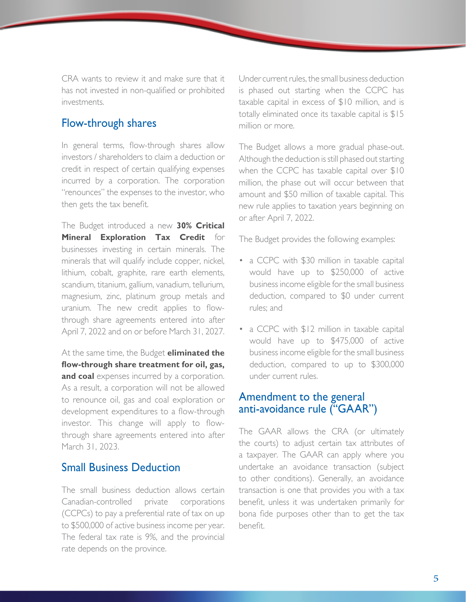CRA wants to review it and make sure that it has not invested in non-qualified or prohibited investments.

#### Flow-through shares

In general terms, flow-through shares allow investors / shareholders to claim a deduction or credit in respect of certain qualifying expenses incurred by a corporation. The corporation "renounces" the expenses to the investor, who then gets the tax benefit.

The Budget introduced a new **30% Critical Mineral Exploration Tax Credit** for businesses investing in certain minerals. The minerals that will qualify include copper, nickel, lithium, cobalt, graphite, rare earth elements, scandium, titanium, gallium, vanadium, tellurium, magnesium, zinc, platinum group metals and uranium. The new credit applies to flowthrough share agreements entered into after April 7, 2022 and on or before March 31, 2027.

At the same time, the Budget **eliminated the flow-through share treatment for oil, gas, and coal** expenses incurred by a corporation. As a result, a corporation will not be allowed to renounce oil, gas and coal exploration or development expenditures to a flow-through investor. This change will apply to flowthrough share agreements entered into after March 31, 2023.

#### Small Business Deduction

The small business deduction allows certain Canadian-controlled private corporations (CCPCs) to pay a preferential rate of tax on up to \$500,000 of active business income per year. The federal tax rate is 9%, and the provincial rate depends on the province.

Under current rules, the small business deduction is phased out starting when the CCPC has taxable capital in excess of \$10 million, and is totally eliminated once its taxable capital is \$15 million or more.

The Budget allows a more gradual phase-out. Although the deduction is still phased out starting when the CCPC has taxable capital over \$10 million, the phase out will occur between that amount and \$50 million of taxable capital. This new rule applies to taxation years beginning on or after April 7, 2022.

The Budget provides the following examples:

- a CCPC with \$30 million in taxable capital would have up to \$250,000 of active business income eligible for the small business deduction, compared to \$0 under current rules; and
- a CCPC with \$12 million in taxable capital would have up to \$475,000 of active business income eligible for the small business deduction, compared to up to \$300,000 under current rules.

#### Amendment to the general anti-avoidance rule ("GAAR")

The GAAR allows the CRA (or ultimately the courts) to adjust certain tax attributes of a taxpayer. The GAAR can apply where you undertake an avoidance transaction (subject to other conditions). Generally, an avoidance transaction is one that provides you with a tax benefit, unless it was undertaken primarily for bona fide purposes other than to get the tax benefit.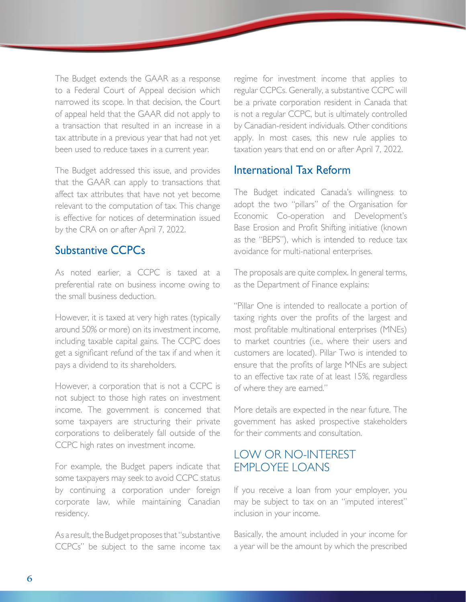<span id="page-5-0"></span>The Budget extends the GAAR as a response to a Federal Court of Appeal decision which narrowed its scope. In that decision, the Court of appeal held that the GAAR did not apply to a transaction that resulted in an increase in a tax attribute in a previous year that had not yet been used to reduce taxes in a current year.

The Budget addressed this issue, and provides that the GAAR can apply to transactions that affect tax attributes that have not yet become relevant to the computation of tax. This change is effective for notices of determination issued by the CRA on or after April 7, 2022.

## Substantive CCPCs

As noted earlier, a CCPC is taxed at a preferential rate on business income owing to the small business deduction.

However, it is taxed at very high rates (typically around 50% or more) on its investment income, including taxable capital gains. The CCPC does get a significant refund of the tax if and when it pays a dividend to its shareholders.

However, a corporation that is not a CCPC is not subject to those high rates on investment income. The government is concerned that some taxpayers are structuring their private corporations to deliberately fall outside of the CCPC high rates on investment income.

For example, the Budget papers indicate that some taxpayers may seek to avoid CCPC status by continuing a corporation under foreign corporate law, while maintaining Canadian residency.

As a result, the Budget proposes that "substantive CCPCs" be subject to the same income tax regime for investment income that applies to regular CCPCs. Generally, a substantive CCPC will be a private corporation resident in Canada that is not a regular CCPC, but is ultimately controlled by Canadian-resident individuals. Other conditions apply. In most cases, this new rule applies to taxation years that end on or after April 7, 2022.

#### International Tax Reform

The Budget indicated Canada's willingness to adopt the two "pillars" of the Organisation for Economic Co-operation and Development's Base Erosion and Profit Shifting initiative (known as the "BEPS"), which is intended to reduce tax avoidance for multi-national enterprises.

The proposals are quite complex. In general terms, as the Department of Finance explains:

"Pillar One is intended to reallocate a portion of taxing rights over the profits of the largest and most profitable multinational enterprises (MNEs) to market countries (i.e., where their users and customers are located). Pillar Two is intended to ensure that the profits of large MNEs are subject to an effective tax rate of at least 15%, regardless of where they are earned."

More details are expected in the near future. The government has asked prospective stakeholders for their comments and consultation.

## LOW OR NO-INTEREST EMPLOYEE LOANS

If you receive a loan from your employer, you may be subject to tax on an "imputed interest" inclusion in your income.

Basically, the amount included in your income for a year will be the amount by which the prescribed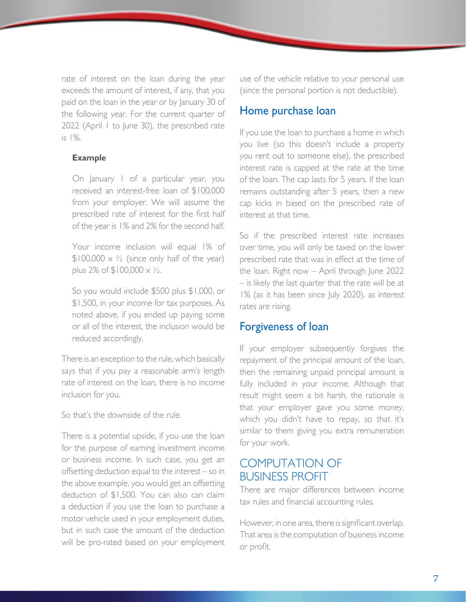<span id="page-6-0"></span>rate of interest on the loan during the year exceeds the amount of interest, if any, that you paid on the loan in the year or by January 30 of the following year. For the current quarter of 2022 (April 1 to June 30), the prescribed rate is 1%.

#### **Example**

On January 1 of a particular year, you received an interest-free loan of \$100,000 from your employer. We will assume the prescribed rate of interest for the first half of the year is 1% and 2% for the second half.

Your income inclusion will equal 1% of  $$100,000 \times \frac{1}{2}$  (since only half of the year) plus 2% of  $$100,000 \times \frac{1}{2}$ .

So you would include \$500 plus \$1,000, or \$1,500, in your income for tax purposes. As noted above, if you ended up paying some or all of the interest, the inclusion would be reduced accordingly.

There is an exception to the rule, which basically says that if you pay a reasonable arm's length rate of interest on the loan, there is no income inclusion for you.

So that's the downside of the rule.

There is a potential upside, if you use the loan for the purpose of earning investment income or business income. In such case, you get an offsetting deduction equal to the interest – so in the above example, you would get an offsetting deduction of \$1,500. You can also can claim a deduction if you use the loan to purchase a motor vehicle used in your employment duties, but in such case the amount of the deduction will be pro-rated based on your employment

use of the vehicle relative to your personal use (since the personal portion is not deductible).

#### Home purchase loan

If you use the loan to purchase a home in which you live (so this doesn't include a property you rent out to someone else), the prescribed interest rate is capped at the rate at the time of the loan. The cap lasts for 5 years. If the loan remains outstanding after 5 years, then a new cap kicks in based on the prescribed rate of interest at that time.

So if the prescribed interest rate increases over time, you will only be taxed on the lower prescribed rate that was in effect at the time of the loan. Right now – April through June 2022 – is likely the last quarter that the rate will be at 1% (as it has been since July 2020), as interest rates are rising.

## Forgiveness of loan

If your employer subsequently forgives the repayment of the principal amount of the loan, then the remaining unpaid principal amount is fully included in your income. Although that result might seem a bit harsh, the rationale is that your employer gave you some money, which you didn't have to repay, so that it's similar to them giving you extra remuneration for your work.

## COMPUTATION OF BUSINESS PROFIT

There are major differences between income tax rules and financial accounting rules.

However, in one area, there is significant overlap. That area is the computation of business income or profit.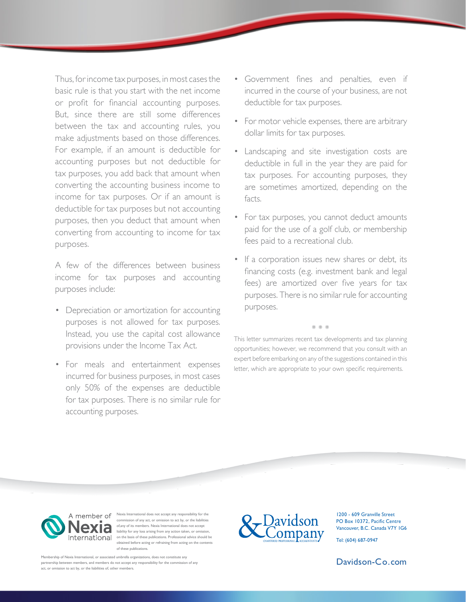Thus, for income tax purposes, in most cases the basic rule is that you start with the net income or profit for financial accounting purposes. But, since there are still some differences between the tax and accounting rules, you make adjustments based on those differences. For example, if an amount is deductible for accounting purposes but not deductible for tax purposes, you add back that amount when converting the accounting business income to income for tax purposes. Or if an amount is deductible for tax purposes but not accounting purposes, then you deduct that amount when converting from accounting to income for tax purposes.

A few of the differences between business income for tax purposes and accounting purposes include:

- Depreciation or amortization for accounting purposes is not allowed for tax purposes. Instead, you use the capital cost allowance provisions under the Income Tax Act.
- For meals and entertainment expenses incurred for business purposes, in most cases only 50% of the expenses are deductible for tax purposes. There is no similar rule for accounting purposes.
- Government fines and penalties, even if incurred in the course of your business, are not deductible for tax purposes.
- For motor vehicle expenses, there are arbitrary dollar limits for tax purposes.
- Landscaping and site investigation costs are deductible in full in the year they are paid for tax purposes. For accounting purposes, they are sometimes amortized, depending on the facts.
- For tax purposes, you cannot deduct amounts paid for the use of a golf club, or membership fees paid to a recreational club.
- If a corporation issues new shares or debt, its financing costs (e.g. investment bank and legal fees) are amortized over five years for tax purposes. There is no similar rule for accounting purposes.

This letter summarizes recent tax developments and tax planning opportunities; however, we recommend that you consult with an expert before embarking on any of the suggestions contained in this letter, which are appropriate to your own specific requirements.

\* \* \*



A member of Nexia International does not accept any responsibility for the commission of any act, or omission to act by, or the liabilities of,any of its members. Nexia International does not accept liability for any loss arising from any action taken, or omiss International on the basis of these publications. Professional advice should be obtained before acting or refraining from acting on the contents of these publications.

nbership of Nexia International, or associated umbrella organizations, does not constitute any partnership between members, and members do not accept any responsibility for the commission of any act, or omission to act by, or the liabilities of, other members.



1200 - 609 Granville Street PO Box 10372, Pacific Centre Vancouver, B.C. Canada V7Y 1G6

Tel: (604) 687-0947

[Davidson-](http://Davidson-Co.com)Co.com